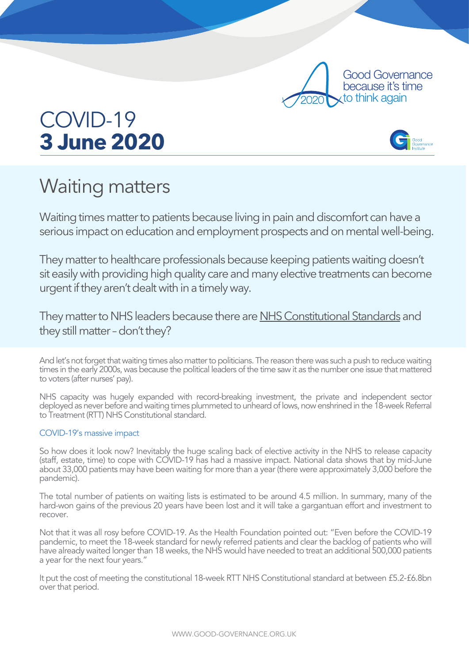

## COVID-19 **3 June 2020**



## Waiting matters

Waiting times matter to patients because living in pain and discomfort can have a serious impact on education and employment prospects and on mental well-being.

They matter to healthcare professionals because keeping patients waiting doesn't sit easily with providing high quality care and many elective treatments can become urgent if they aren't dealt with in a timely way.

They matter to NHS leaders because there are NHS Constitutional Standards and they still matter – don't they?

And let's not forget that waiting times also matter to politicians. The reason there was such a push to reduce waiting times in the early 2000s, was because the political leaders of the time saw it as the number one issue that mattered to voters (after nurses' pay).

NHS capacity was hugely expanded with record-breaking investment, the private and independent sector deployed as never before and waiting times plummeted to unheard of lows, now enshrined in the 18-week Referral to Treatment (RTT) NHS Constitutional standard.

## COVID-19's massive impact

So how does it look now? Inevitably the huge scaling back of elective activity in the NHS to release capacity (staff, estate, time) to cope with COVID-19 has had a massive impact. National data shows that by mid-June about 33,000 patients may have been waiting for more than a year (there were approximately 3,000 before the pandemic).

The total number of patients on waiting lists is estimated to be around 4.5 million. In summary, many of the hard-won gains of the previous 20 years have been lost and it will take a gargantuan effort and investment to recover.

Not that it was all rosy before COVID-19. As the Health Foundation pointed out: "Even before the COVID-19 pandemic, to meet the 18-week standard for newly referred patients and clear the backlog of patients who will have already waited longer than 18 weeks, the NHS would have needed to treat an additional 500,000 patients a year for the next four years."

It put the cost of meeting the constitutional 18-week RTT NHS Constitutional standard at between £5.2-£6.8bn over that period.